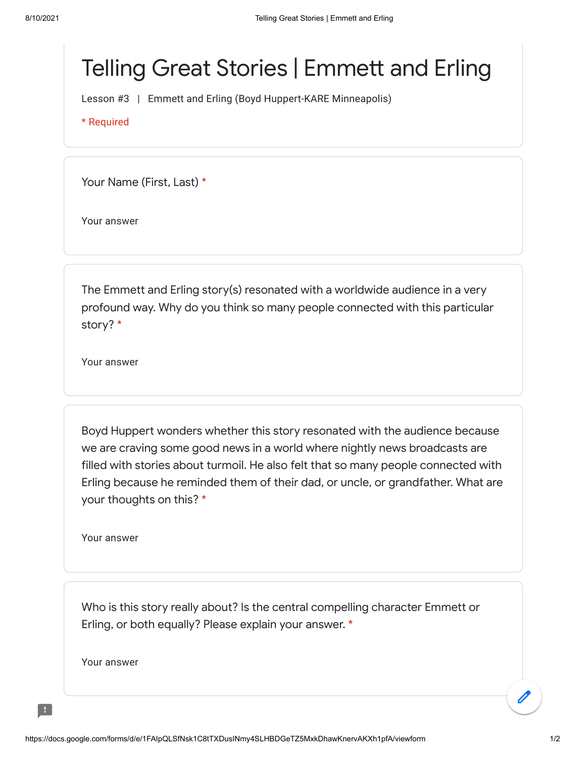## Telling Great Stories | Emmett and Erling

Lesson #3 | Emmett and Erling (Boyd Huppert-KARE Minneapolis)

\* Required

Your Name (First, Last) \*

Your answer

The Emmett and Erling story(s) resonated with a worldwide audience in a very profound way. Why do you think so many people connected with this particular story? \*

Your answer

Boyd Huppert wonders whether this story resonated with the audience because we are craving some good news in a world where nightly news broadcasts are filled with stories about turmoil. He also felt that so many people connected with Erling because he reminded them of their dad, or uncle, or grandfather. What are your thoughts on this? \*

Your answer

Who is this story really about? Is the central compelling character Emmett or Erling, or both equally? Please explain your answer. \*

Your answer

H